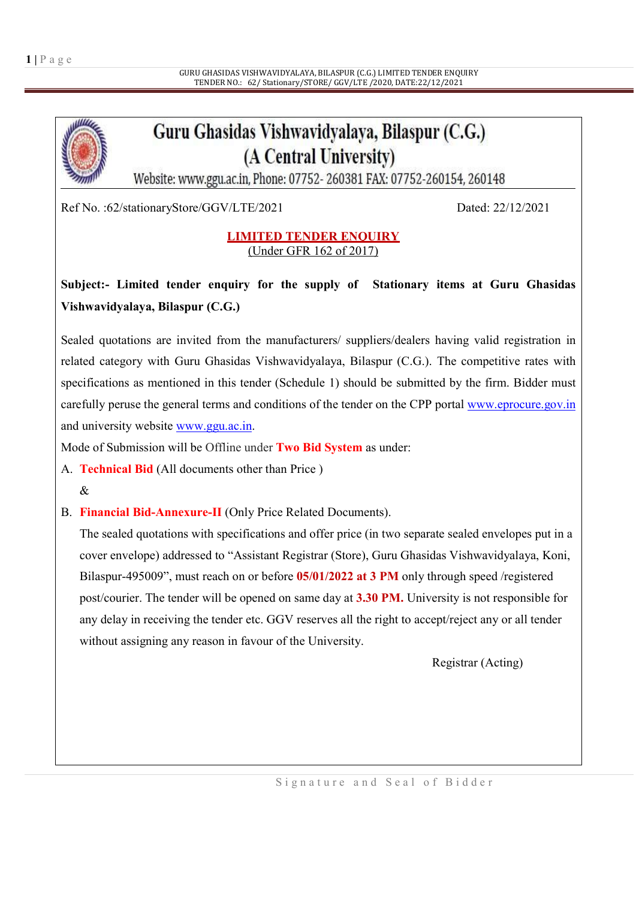# Guru Ghasidas Vishwavidyalaya, Bilaspur (C.G.) (A Central University)

Website: www.ggu.ac.in, Phone: 07752-260381 FAX: 07752-260154, 260148

Ref No. :62/stationaryStore/GGV/LTE/2021 Dated: 22/12/2021

#### LIMITED TENDER ENQUIRY (Under GFR 162 of 2017)

### Subject:- Limited tender enquiry for the supply of Stationary items at Guru Ghasidas Vishwavidyalaya, Bilaspur (C.G.)

Sealed quotations are invited from the manufacturers/ suppliers/dealers having valid registration in related category with Guru Ghasidas Vishwavidyalaya, Bilaspur (C.G.). The competitive rates with specifications as mentioned in this tender (Schedule 1) should be submitted by the firm. Bidder must carefully peruse the general terms and conditions of the tender on the CPP portal www.eprocure.gov.in and university website www.ggu.ac.in.

Mode of Submission will be Offline under Two Bid System as under:

A. Technical Bid (All documents other than Price )

#### $\mathcal{R}$

B. Financial Bid-Annexure-II (Only Price Related Documents).

The sealed quotations with specifications and offer price (in two separate sealed envelopes put in a cover envelope) addressed to "Assistant Registrar (Store), Guru Ghasidas Vishwavidyalaya, Koni, Bilaspur-495009", must reach on or before 05/01/2022 at 3 PM only through speed /registered post/courier. The tender will be opened on same day at 3.30 PM. University is not responsible for any delay in receiving the tender etc. GGV reserves all the right to accept/reject any or all tender without assigning any reason in favour of the University.

Registrar (Acting)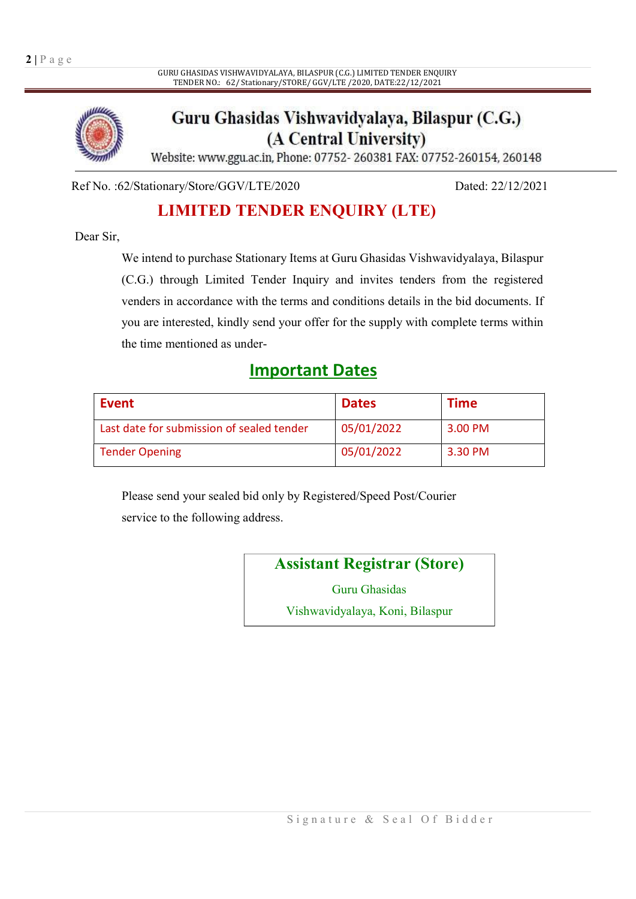

### Guru Ghasidas Vishwavidyalaya, Bilaspur (C.G.) (A Central University)

Website: www.ggu.ac.in, Phone: 07752-260381 FAX: 07752-260154, 260148

Ref No. :62/Stationary/Store/GGV/LTE/2020 Dated: 22/12/2021

### LIMITED TENDER ENQUIRY (LTE)

Dear Sir,

We intend to purchase Stationary Items at Guru Ghasidas Vishwavidyalaya, Bilaspur (C.G.) through Limited Tender Inquiry and invites tenders from the registered venders in accordance with the terms and conditions details in the bid documents. If you are interested, kindly send your offer for the supply with complete terms within the time mentioned as under-

### Important Dates

| <b>Event</b>                              | <b>Dates</b> | <b>Time</b> |
|-------------------------------------------|--------------|-------------|
| Last date for submission of sealed tender | 05/01/2022   | 3.00 PM     |
| <b>Tender Opening</b>                     | 05/01/2022   | 3.30 PM     |

Please send your sealed bid only by Registered/Speed Post/Courier service to the following address.

Assistant Registrar (Store)

Guru Ghasidas

Vishwavidyalaya, Koni, Bilaspur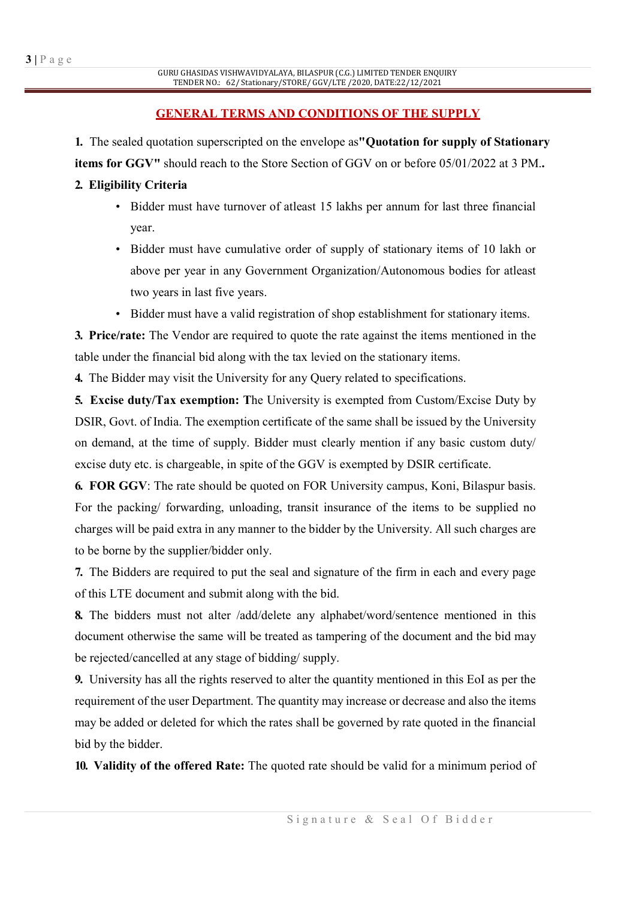#### GENERAL TERMS AND CONDITIONS OF THE SUPPLY

1. The sealed quotation superscripted on the envelope as"Quotation for supply of Stationary items for GGV" should reach to the Store Section of GGV on or before 05/01/2022 at 3 PM..

#### 2. Eligibility Criteria

- Bidder must have turnover of atleast 15 lakhs per annum for last three financial year.
- Bidder must have cumulative order of supply of stationary items of 10 lakh or above per year in any Government Organization/Autonomous bodies for atleast two years in last five years.
- Bidder must have a valid registration of shop establishment for stationary items.

3. Price/rate: The Vendor are required to quote the rate against the items mentioned in the table under the financial bid along with the tax levied on the stationary items.

4. The Bidder may visit the University for any Query related to specifications.

5. Excise duty/Tax exemption: The University is exempted from Custom/Excise Duty by DSIR, Govt. of India. The exemption certificate of the same shall be issued by the University on demand, at the time of supply. Bidder must clearly mention if any basic custom duty/ excise duty etc. is chargeable, in spite of the GGV is exempted by DSIR certificate.

6. FOR GGV: The rate should be quoted on FOR University campus, Koni, Bilaspur basis. For the packing/ forwarding, unloading, transit insurance of the items to be supplied no charges will be paid extra in any manner to the bidder by the University. All such charges are to be borne by the supplier/bidder only.

7. The Bidders are required to put the seal and signature of the firm in each and every page of this LTE document and submit along with the bid.

8. The bidders must not alter /add/delete any alphabet/word/sentence mentioned in this document otherwise the same will be treated as tampering of the document and the bid may be rejected/cancelled at any stage of bidding/ supply.

9. University has all the rights reserved to alter the quantity mentioned in this EoI as per the requirement of the user Department. The quantity may increase or decrease and also the items may be added or deleted for which the rates shall be governed by rate quoted in the financial bid by the bidder.

10. Validity of the offered Rate: The quoted rate should be valid for a minimum period of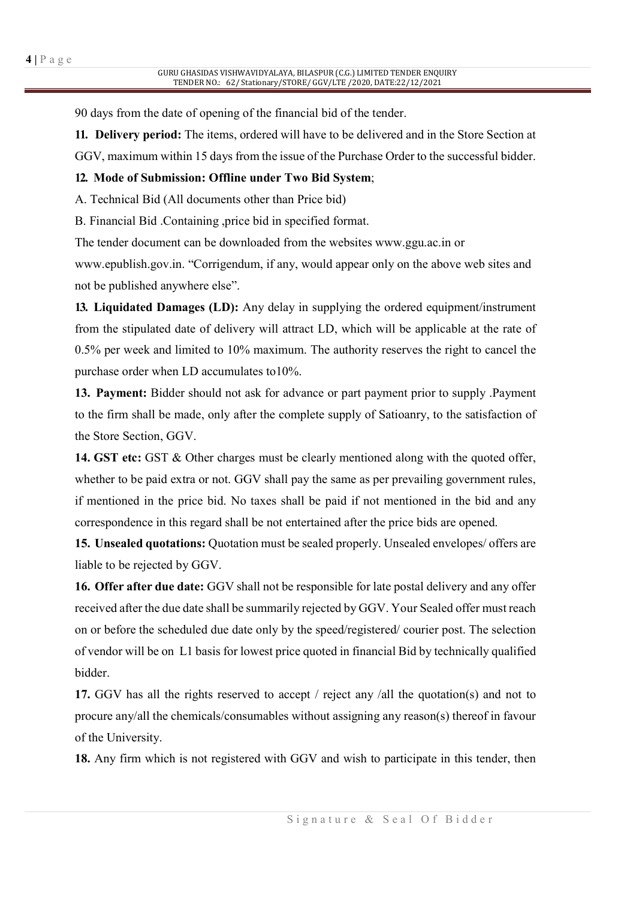90 days from the date of opening of the financial bid of the tender.

11. Delivery period: The items, ordered will have to be delivered and in the Store Section at GGV, maximum within 15 days from the issue of the Purchase Order to the successful bidder.

#### 12. Mode of Submission: Offline under Two Bid System;

A. Technical Bid (All documents other than Price bid)

B. Financial Bid .Containing ,price bid in specified format.

The tender document can be downloaded from the websites www.ggu.ac.in or

www.epublish.gov.in. "Corrigendum, if any, would appear only on the above web sites and not be published anywhere else".

13. Liquidated Damages (LD): Any delay in supplying the ordered equipment/instrument from the stipulated date of delivery will attract LD, which will be applicable at the rate of 0.5% per week and limited to 10% maximum. The authority reserves the right to cancel the purchase order when LD accumulates to10%.

13. Payment: Bidder should not ask for advance or part payment prior to supply .Payment to the firm shall be made, only after the complete supply of Satioanry, to the satisfaction of the Store Section, GGV.

14. GST etc: GST & Other charges must be clearly mentioned along with the quoted offer, whether to be paid extra or not. GGV shall pay the same as per prevailing government rules, if mentioned in the price bid. No taxes shall be paid if not mentioned in the bid and any correspondence in this regard shall be not entertained after the price bids are opened.

15. Unsealed quotations: Quotation must be sealed properly. Unsealed envelopes/ offers are liable to be rejected by GGV.

16. Offer after due date: GGV shall not be responsible for late postal delivery and any offer received after the due date shall be summarily rejected by GGV. Your Sealed offer must reach on or before the scheduled due date only by the speed/registered/ courier post. The selection of vendor will be on L1 basis for lowest price quoted in financial Bid by technically qualified bidder.

17. GGV has all the rights reserved to accept / reject any /all the quotation(s) and not to procure any/all the chemicals/consumables without assigning any reason(s) thereof in favour of the University.

18. Any firm which is not registered with GGV and wish to participate in this tender, then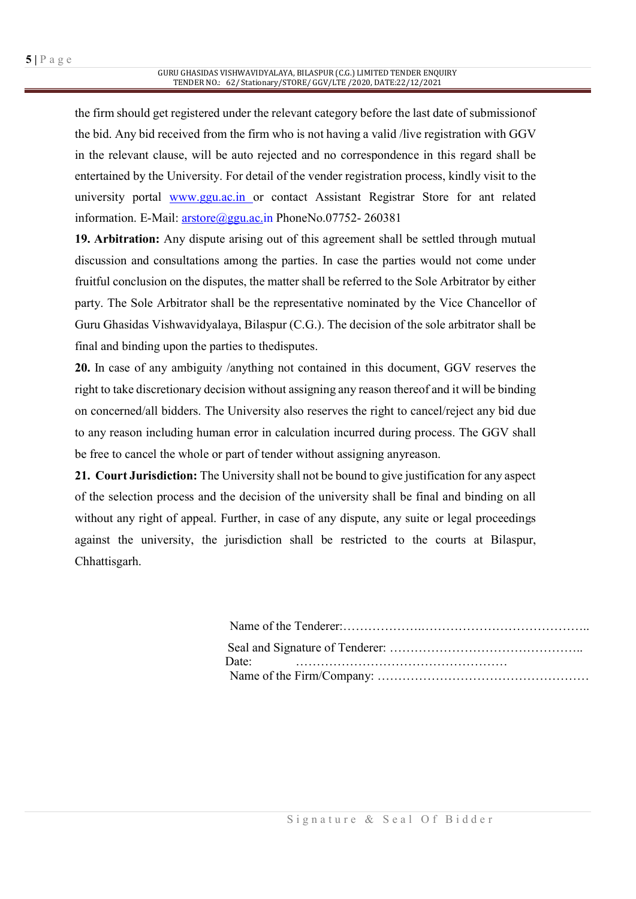the firm should get registered under the relevant category before the last date of submissionof the bid. Any bid received from the firm who is not having a valid /live registration with GGV in the relevant clause, will be auto rejected and no correspondence in this regard shall be entertained by the University. For detail of the vender registration process, kindly visit to the university portal www.ggu.ac.in or contact Assistant Registrar Store for ant related information. E-Mail: arstore@ggu.ac.in PhoneNo.07752-260381

19. Arbitration: Any dispute arising out of this agreement shall be settled through mutual discussion and consultations among the parties. In case the parties would not come under fruitful conclusion on the disputes, the matter shall be referred to the Sole Arbitrator by either party. The Sole Arbitrator shall be the representative nominated by the Vice Chancellor of Guru Ghasidas Vishwavidyalaya, Bilaspur (C.G.). The decision of the sole arbitrator shall be final and binding upon the parties to thedisputes.

20. In case of any ambiguity /anything not contained in this document, GGV reserves the right to take discretionary decision without assigning any reason thereof and it will be binding on concerned/all bidders. The University also reserves the right to cancel/reject any bid due to any reason including human error in calculation incurred during process. The GGV shall be free to cancel the whole or part of tender without assigning anyreason.

21. Court Jurisdiction: The University shall not be bound to give justification for any aspect of the selection process and the decision of the university shall be final and binding on all without any right of appeal. Further, in case of any dispute, any suite or legal proceedings against the university, the jurisdiction shall be restricted to the courts at Bilaspur, Chhattisgarh.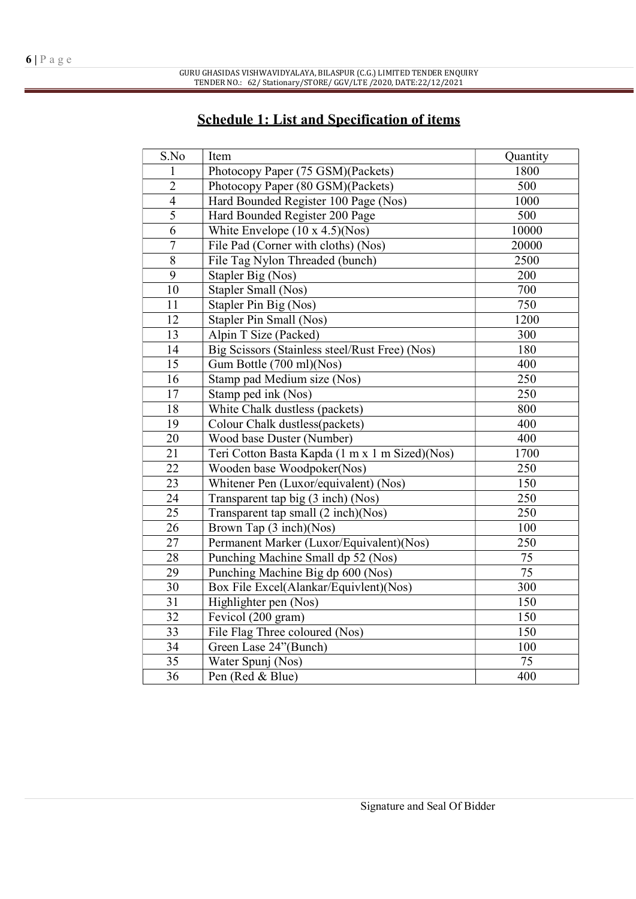### Schedule 1: List and Specification of items

| S.No            | Item                                           | Quantity |
|-----------------|------------------------------------------------|----------|
| 1               | Photocopy Paper (75 GSM)(Packets)              | 1800     |
| $\overline{2}$  | Photocopy Paper (80 GSM)(Packets)              | 500      |
| $\overline{4}$  | Hard Bounded Register 100 Page (Nos)           | 1000     |
| 5               | Hard Bounded Register 200 Page                 | 500      |
| 6               | White Envelope $(10 \times 4.5)(Nos)$          | 10000    |
| $\overline{7}$  | File Pad (Corner with cloths) (Nos)            | 20000    |
| $\overline{8}$  | File Tag Nylon Threaded (bunch)                | 2500     |
| 9               | Stapler Big (Nos)                              | 200      |
| 10              | Stapler Small (Nos)                            | 700      |
| 11              | Stapler Pin Big (Nos)                          | 750      |
| 12              | Stapler Pin Small (Nos)                        | 1200     |
| 13              | Alpin T Size (Packed)                          | 300      |
| 14              | Big Scissors (Stainless steel/Rust Free) (Nos) | 180      |
| $\overline{15}$ | Gum Bottle (700 ml)(Nos)                       | 400      |
| 16              | Stamp pad Medium size (Nos)                    | 250      |
| 17              | Stamp ped ink (Nos)                            | 250      |
| 18              | White Chalk dustless (packets)                 | 800      |
| 19              | Colour Chalk dustless(packets)                 | 400      |
| 20              | Wood base Duster (Number)                      | 400      |
| $\overline{21}$ | Teri Cotton Basta Kapda (1 m x 1 m Sized)(Nos) | 1700     |
| 22              | Wooden base Woodpoker(Nos)                     | 250      |
| $\overline{23}$ | Whitener Pen (Luxor/equivalent) (Nos)          | 150      |
| 24              | Transparent tap big (3 inch) (Nos)             | 250      |
| $\overline{25}$ | Transparent tap small (2 inch)(Nos)            | 250      |
| $\overline{26}$ | Brown Tap (3 inch)(Nos)                        | 100      |
| 27              | Permanent Marker (Luxor/Equivalent)(Nos)       | 250      |
| 28              | Punching Machine Small dp 52 (Nos)             | 75       |
| 29              | Punching Machine Big dp 600 (Nos)              | 75       |
| 30              | Box File Excel(Alankar/Equivlent)(Nos)         | 300      |
| 31              | Highlighter pen (Nos)                          | 150      |
| 32              | Fevicol (200 gram)                             | 150      |
| 33              | File Flag Three coloured (Nos)                 | 150      |
| 34              | Green Lase 24"(Bunch)                          | 100      |
| $\overline{35}$ | Water Spunj (Nos)                              | 75       |
| 36              | Pen (Red & Blue)                               | 400      |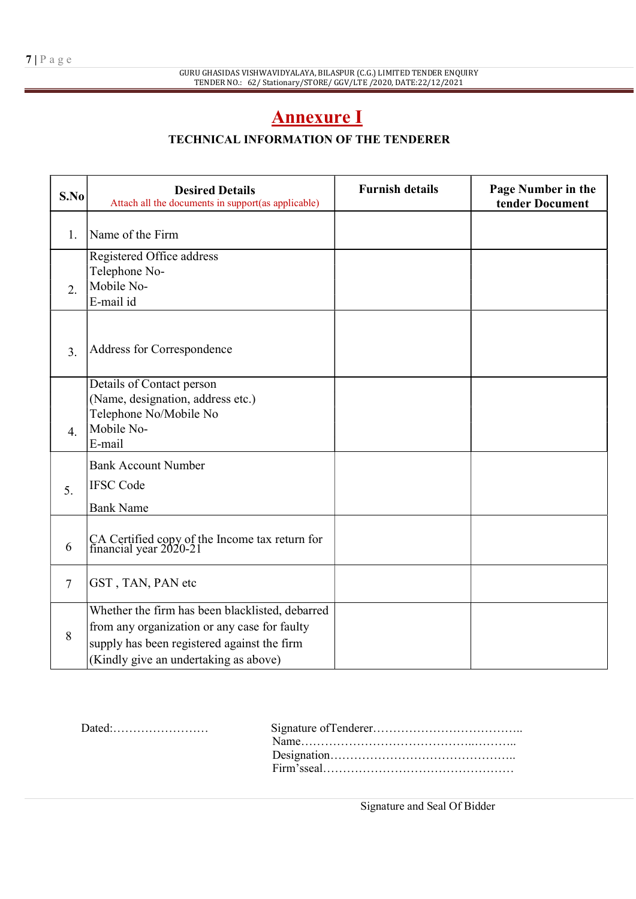## Annexure I

### TECHNICAL INFORMATION OF THE TENDERER

| S.No             | <b>Desired Details</b><br>Attach all the documents in support(as applicable)                                                                                                            | <b>Furnish details</b> | Page Number in the<br>tender Document |
|------------------|-----------------------------------------------------------------------------------------------------------------------------------------------------------------------------------------|------------------------|---------------------------------------|
| 1.               | Name of the Firm                                                                                                                                                                        |                        |                                       |
| $\overline{2}$ . | Registered Office address<br>Telephone No-<br>Mobile No-<br>E-mail id                                                                                                                   |                        |                                       |
| 3.               | Address for Correspondence                                                                                                                                                              |                        |                                       |
| $\overline{4}$ . | Details of Contact person<br>(Name, designation, address etc.)<br>Telephone No/Mobile No<br>Mobile No-<br>E-mail                                                                        |                        |                                       |
| 5.               | <b>Bank Account Number</b><br><b>IFSC</b> Code<br><b>Bank Name</b>                                                                                                                      |                        |                                       |
| 6                | CA Certified copy of the Income tax return for<br>financial year 2020-21                                                                                                                |                        |                                       |
| $\overline{7}$   | GST, TAN, PAN etc                                                                                                                                                                       |                        |                                       |
| 8                | Whether the firm has been blacklisted, debarred<br>from any organization or any case for faulty<br>supply has been registered against the firm<br>(Kindly give an undertaking as above) |                        |                                       |

| $Dated: \ldots \ldots \ldots \ldots \ldots \ldots$ |                |
|----------------------------------------------------|----------------|
|                                                    | $Name \dots 1$ |
|                                                    |                |
|                                                    |                |
|                                                    |                |

Signature and Seal Of Bidder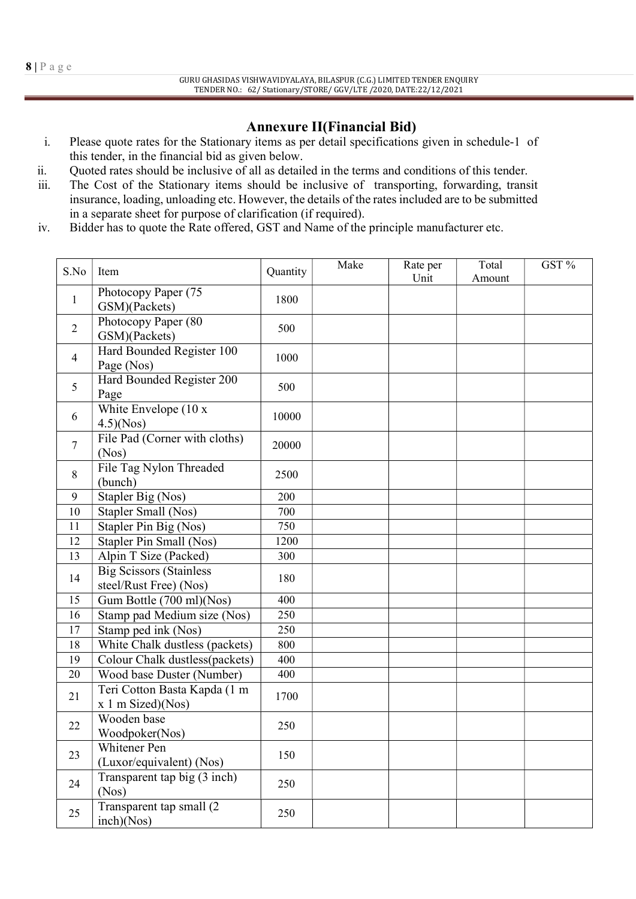#### Annexure II(Financial Bid)

- i. Please quote rates for the Stationary items as per detail specifications given in schedule-1 of this tender, in the financial bid as given below.
- ii. Quoted rates should be inclusive of all as detailed in the terms and conditions of this tender.
- iii. The Cost of the Stationary items should be inclusive of transporting, forwarding, transit insurance, loading, unloading etc. However, the details of the rates included are to be submitted in a separate sheet for purpose of clarification (if required).
- iv. Bidder has to quote the Rate offered, GST and Name of the principle manufacturer etc.

| S.No           | Item                                                     | Quantity | Make | Rate per<br>Unit | Total<br>Amount | GST % |
|----------------|----------------------------------------------------------|----------|------|------------------|-----------------|-------|
| $\mathbf{1}$   | Photocopy Paper (75<br>GSM)(Packets)                     | 1800     |      |                  |                 |       |
| $\overline{2}$ | Photocopy Paper (80<br>GSM)(Packets)                     | 500      |      |                  |                 |       |
| $\overline{4}$ | Hard Bounded Register 100<br>Page (Nos)                  | 1000     |      |                  |                 |       |
| 5              | Hard Bounded Register 200<br>Page                        | 500      |      |                  |                 |       |
| 6              | White Envelope $(10 x$<br>4.5)(Nos)                      | 10000    |      |                  |                 |       |
| $\overline{7}$ | File Pad (Corner with cloths)<br>(Nos)                   | 20000    |      |                  |                 |       |
| 8              | File Tag Nylon Threaded<br>(bunch)                       | 2500     |      |                  |                 |       |
| 9              | Stapler Big (Nos)                                        | 200      |      |                  |                 |       |
| 10             | Stapler Small (Nos)                                      | 700      |      |                  |                 |       |
| 11             | Stapler Pin Big (Nos)                                    | 750      |      |                  |                 |       |
| 12             | Stapler Pin Small (Nos)                                  | 1200     |      |                  |                 |       |
| 13             | Alpin T Size (Packed)                                    | 300      |      |                  |                 |       |
| 14             | <b>Big Scissors (Stainless</b><br>steel/Rust Free) (Nos) | 180      |      |                  |                 |       |
| 15             | Gum Bottle (700 ml)(Nos)                                 | 400      |      |                  |                 |       |
| 16             | Stamp pad Medium size (Nos)                              | 250      |      |                  |                 |       |
| 17             | Stamp ped ink (Nos)                                      | 250      |      |                  |                 |       |
| 18             | White Chalk dustless (packets)                           | 800      |      |                  |                 |       |
| 19             | Colour Chalk dustless(packets)                           | 400      |      |                  |                 |       |
| 20             | Wood base Duster (Number)                                | 400      |      |                  |                 |       |
| 21             | Teri Cotton Basta Kapda (1 m<br>$x 1$ m Sized)(Nos)      | 1700     |      |                  |                 |       |
| 22             | Wooden base<br>Woodpoker(Nos)                            | 250      |      |                  |                 |       |
| 23             | Whitener Pen<br>(Luxor/equivalent) (Nos)                 | 150      |      |                  |                 |       |
| 24             | Transparent tap big (3 inch)<br>(Nos)                    | 250      |      |                  |                 |       |
| 25             | Transparent tap small (2)<br>inch)(Nos)                  | 250      |      |                  |                 |       |